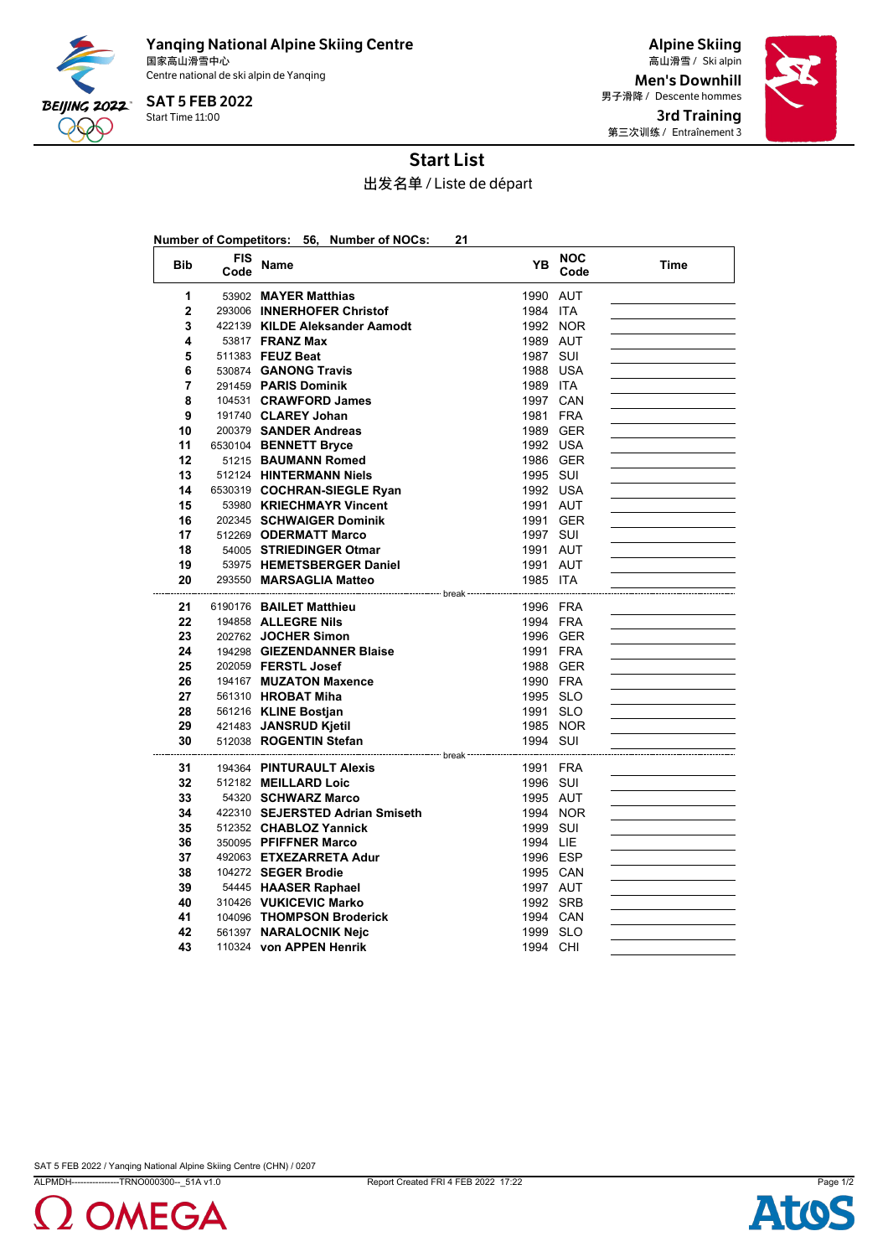

Yanqing National Alpine Skiing Centre 国家高山滑雪中心 Ski alpin 高山滑雪 / Centre national de ski alpin de Yanqing

Start Time 11:00 SAT 5 FEB 2022

Alpine Skiing Men's Downhill 男子滑降 / Descente hommes 3rd Training 第三次训练 / Entraînement 3



## Start List

出发名单 / Liste de départ

| Number of Competitors: 56, Number of NOCs:<br>21 |                    |                                                                                  |          |                    |      |  |  |
|--------------------------------------------------|--------------------|----------------------------------------------------------------------------------|----------|--------------------|------|--|--|
| <b>Bib</b>                                       | <b>FIS</b><br>Code | Name                                                                             | YΒ       | <b>NOC</b><br>Code | Time |  |  |
| 1                                                |                    | 53902 MAYER Matthias                                                             | 1990 AUT |                    |      |  |  |
| $\mathbf{2}$                                     |                    | 293006 INNERHOFER Christof                                                       | 1984 ITA |                    |      |  |  |
| 3                                                |                    | 422139 KILDE Aleksander Aamodt                                                   |          | 1992 NOR           |      |  |  |
| 4                                                |                    | 53817 <b>FRANZ Max</b>                                                           | 1989 AUT |                    |      |  |  |
| 5                                                |                    | 511383 FEUZ Beat                                                                 | 1987 SUI |                    |      |  |  |
| 6                                                |                    | 530874 GANONG Travis                                                             | 1988 USA |                    |      |  |  |
| 7                                                |                    | 291459 PARIS Dominik                                                             | 1989 ITA |                    |      |  |  |
| 8                                                |                    | 104531 CRAWFORD James                                                            | 1997 CAN |                    |      |  |  |
| 9                                                |                    | 191740 CLAREY Johan                                                              | 1981 FRA |                    |      |  |  |
| 10                                               |                    | 200379 SANDER Andreas                                                            |          | 1989 GER           |      |  |  |
| 11                                               |                    | 6530104 BENNETT Bryce                                                            | 1992 USA |                    |      |  |  |
| 12                                               |                    | 51215 BAUMANN Romed                                                              |          | 1986 GER           |      |  |  |
| 13                                               |                    | 512124 HINTERMANN Niels                                                          | 1995 SUI |                    |      |  |  |
| 14                                               |                    | 6530319 COCHRAN-SIEGLE Ryan                                                      | 1992 USA |                    |      |  |  |
| 15                                               |                    | 53980 KRIECHMAYR Vincent                                                         | 1991 AUT |                    |      |  |  |
| 16                                               |                    | 202345 SCHWAIGER Dominik                                                         |          | 1991 GER           |      |  |  |
| 17                                               |                    | 512269 ODERMATT Marco                                                            | 1997 SUI |                    |      |  |  |
| 18                                               |                    | 54005 STRIEDINGER Otmar                                                          | 1991 AUT |                    |      |  |  |
| 19                                               |                    | 53975 HEMETSBERGER Daniel                                                        | 1991 AUT |                    |      |  |  |
| 20                                               |                    | 293550 MARSAGLIA Matteo<br>------------------------------- break --------------- | 1985 ITA |                    |      |  |  |
| 21                                               |                    | 6190176 BAILET Matthieu                                                          | 1996 FRA |                    |      |  |  |
| 22                                               |                    | 194858 ALLEGRE Nils                                                              | 1994 FRA |                    |      |  |  |
| 23                                               |                    | 202762 JOCHER Simon                                                              | 1996 GER |                    |      |  |  |
| 24                                               |                    | 194298 GIEZENDANNER Blaise                                                       | 1991 FRA |                    |      |  |  |
| 25                                               |                    | 202059 FERSTL Josef                                                              |          | 1988 GER           |      |  |  |
| 26                                               |                    | 194167 MUZATON Maxence                                                           | 1990 FRA |                    |      |  |  |
| 27                                               |                    | 561310 HROBAT Miha                                                               | 1995 SLO |                    |      |  |  |
| 28                                               |                    | 561216 KLINE Bostjan                                                             | 1991 SLO |                    |      |  |  |
| 29                                               |                    | 421483 JANSRUD Kjetil                                                            |          | 1985 NOR           |      |  |  |
| 30                                               |                    | 512038 ROGENTIN Stefan                                                           | 1994 SUI |                    |      |  |  |
| 31                                               |                    | 194364 PINTURAULT Alexis                                                         | 1991 FRA |                    |      |  |  |
| 32                                               |                    | 512182 MEILLARD Loic                                                             | 1996 SUI |                    |      |  |  |
| 33                                               |                    | 54320 SCHWARZ Marco                                                              | 1995 AUT |                    |      |  |  |
| 34                                               |                    | 422310 SEJERSTED Adrian Smiseth                                                  |          | 1994 NOR           |      |  |  |
| 35                                               |                    | 512352 CHABLOZ Yannick                                                           | 1999 SUI |                    |      |  |  |
| 36                                               |                    | 350095 PFIFFNER Marco                                                            | 1994 LIE |                    |      |  |  |
| 37                                               |                    | 492063 ETXEZARRETA Adur                                                          | 1996 ESP |                    |      |  |  |
| 38                                               |                    | 104272 SEGER Brodie                                                              | 1995 CAN |                    |      |  |  |
| 39                                               |                    | 54445 HAASER Raphael                                                             | 1997 AUT |                    |      |  |  |
| 40                                               |                    | 310426 VUKICEVIC Marko                                                           | 1992 SRB |                    |      |  |  |
| 41                                               |                    | 104096 THOMPSON Broderick                                                        | 1994 CAN |                    |      |  |  |
| 42                                               |                    | 561397 NARALOCNIK Neic                                                           | 1999 SLO |                    |      |  |  |
| 43                                               |                    | 110324 von APPEN Henrik                                                          | 1994 CHI |                    |      |  |  |